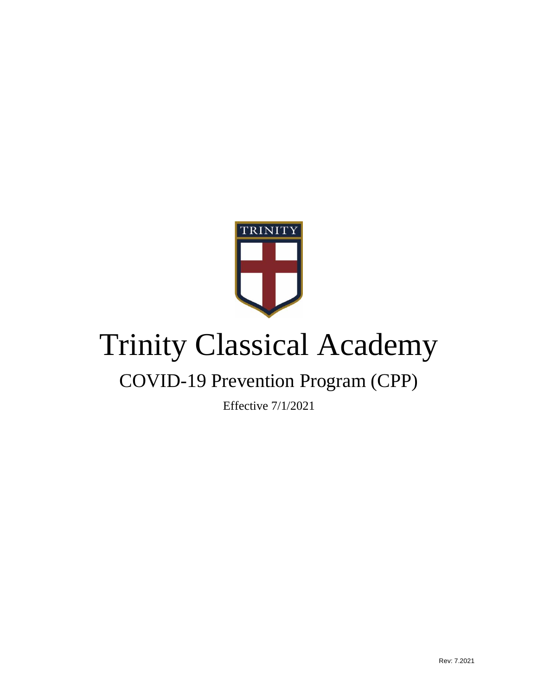

# Trinity Classical Academy

# COVID-19 Prevention Program (CPP)

Effective 7/1/2021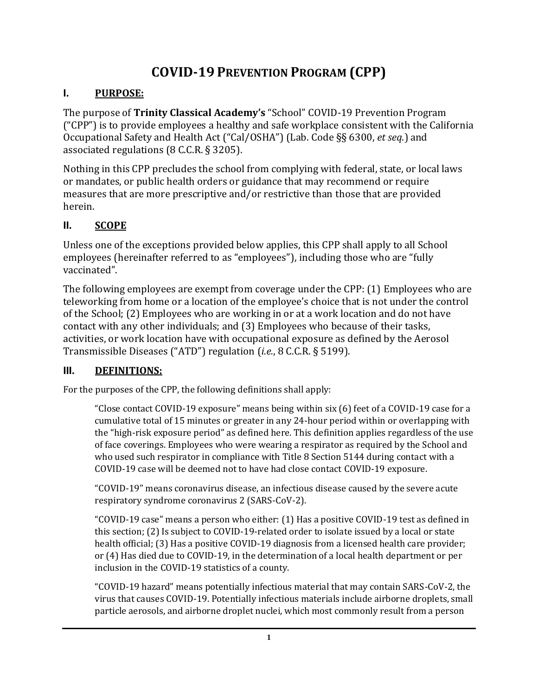# **COVID-19 PREVENTION PROGRAM (CPP)**

## **I. PURPOSE:**

The purpose of **Trinity Classical Academy's** "School" COVID-19 Prevention Program ("CPP") is to provide employees a healthy and safe workplace consistent with the California Occupational Safety and Health Act ("Cal/OSHA") (Lab. Code §§ 6300, *et seq.*) and associated regulations (8 C.C.R. § 3205).

Nothing in this CPP precludes the school from complying with federal, state, or local laws or mandates, or public health orders or guidance that may recommend or require measures that are more prescriptive and/or restrictive than those that are provided herein.

# **II. SCOPE**

Unless one of the exceptions provided below applies, this CPP shall apply to all School employees (hereinafter referred to as "employees"), including those who are "fully vaccinated".

The following employees are exempt from coverage under the CPP: (1) Employees who are teleworking from home or a location of the employee's choice that is not under the control of the School; (2) Employees who are working in or at a work location and do not have contact with any other individuals; and (3) Employees who because of their tasks, activities, or work location have with occupational exposure as defined by the Aerosol Transmissible Diseases ("ATD") regulation (*i.e.*, 8 C.C.R. § 5199).

# **III. DEFINITIONS:**

For the purposes of the CPP, the following definitions shall apply:

"Close contact COVID-19 exposure" means being within six (6) feet of a COVID-19 case for a cumulative total of 15 minutes or greater in any 24-hour period within or overlapping with the "high-risk exposure period" as defined here. This definition applies regardless of the use of face coverings. Employees who were wearing a respirator as required by the School and who used such respirator in compliance with Title 8 Section 5144 during contact with a COVID-19 case will be deemed not to have had close contact COVID-19 exposure.

"COVID-19" means coronavirus disease, an infectious disease caused by the severe acute respiratory syndrome coronavirus 2 (SARS-CoV-2).

"COVID-19 case" means a person who either: (1) Has a positive COVID-19 test as defined in this section; (2) Is subject to COVID-19-related order to isolate issued by a local or state health official; (3) Has a positive COVID-19 diagnosis from a licensed health care provider; or (4) Has died due to COVID-19, in the determination of a local health department or per inclusion in the COVID-19 statistics of a county.

"COVID-19 hazard" means potentially infectious material that may contain SARS-CoV-2, the virus that causes COVID-19. Potentially infectious materials include airborne droplets, small particle aerosols, and airborne droplet nuclei, which most commonly result from a person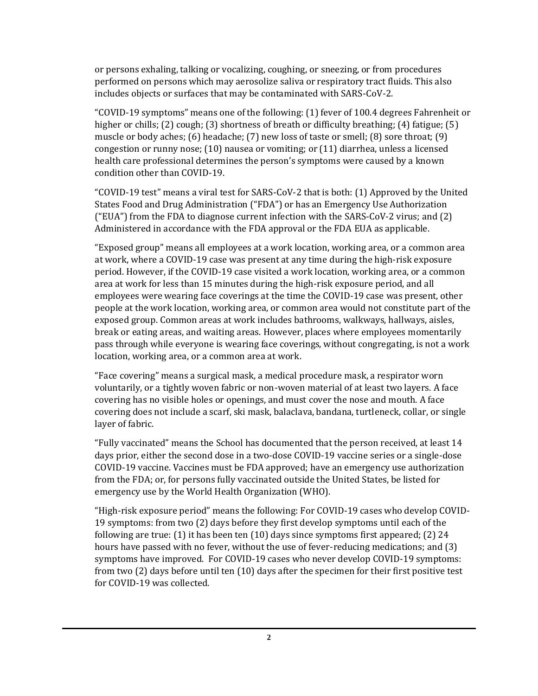or persons exhaling, talking or vocalizing, coughing, or sneezing, or from procedures performed on persons which may aerosolize saliva or respiratory tract fluids. This also includes objects or surfaces that may be contaminated with SARS-CoV-2.

"COVID-19 symptoms" means one of the following: (1) fever of 100.4 degrees Fahrenheit or higher or chills; (2) cough; (3) shortness of breath or difficulty breathing; (4) fatigue; (5) muscle or body aches; (6) headache; (7) new loss of taste or smell; (8) sore throat; (9) congestion or runny nose; (10) nausea or vomiting; or (11) diarrhea, unless a licensed health care professional determines the person's symptoms were caused by a known condition other than COVID-19.

"COVID-19 test" means a viral test for SARS-CoV-2 that is both: (1) Approved by the United States Food and Drug Administration ("FDA") or has an Emergency Use Authorization ("EUA") from the FDA to diagnose current infection with the SARS-CoV-2 virus; and (2) Administered in accordance with the FDA approval or the FDA EUA as applicable.

"Exposed group" means all employees at a work location, working area, or a common area at work, where a COVID-19 case was present at any time during the high-risk exposure period. However, if the COVID-19 case visited a work location, working area, or a common area at work for less than 15 minutes during the high-risk exposure period, and all employees were wearing face coverings at the time the COVID-19 case was present, other people at the work location, working area, or common area would not constitute part of the exposed group. Common areas at work includes bathrooms, walkways, hallways, aisles, break or eating areas, and waiting areas. However, places where employees momentarily pass through while everyone is wearing face coverings, without congregating, is not a work location, working area, or a common area at work.

"Face covering" means a surgical mask, a medical procedure mask, a respirator worn voluntarily, or a tightly woven fabric or non-woven material of at least two layers. A face covering has no visible holes or openings, and must cover the nose and mouth. A face covering does not include a scarf, ski mask, balaclava, bandana, turtleneck, collar, or single layer of fabric.

"Fully vaccinated" means the School has documented that the person received, at least 14 days prior, either the second dose in a two-dose COVID-19 vaccine series or a single-dose COVID-19 vaccine. Vaccines must be FDA approved; have an emergency use authorization from the FDA; or, for persons fully vaccinated outside the United States, be listed for emergency use by the World Health Organization (WHO).

"High-risk exposure period" means the following: For COVID-19 cases who develop COVID-19 symptoms: from two (2) days before they first develop symptoms until each of the following are true: (1) it has been ten (10) days since symptoms first appeared; (2) 24 hours have passed with no fever, without the use of fever-reducing medications; and (3) symptoms have improved. For COVID-19 cases who never develop COVID-19 symptoms: from two (2) days before until ten (10) days after the specimen for their first positive test for COVID-19 was collected.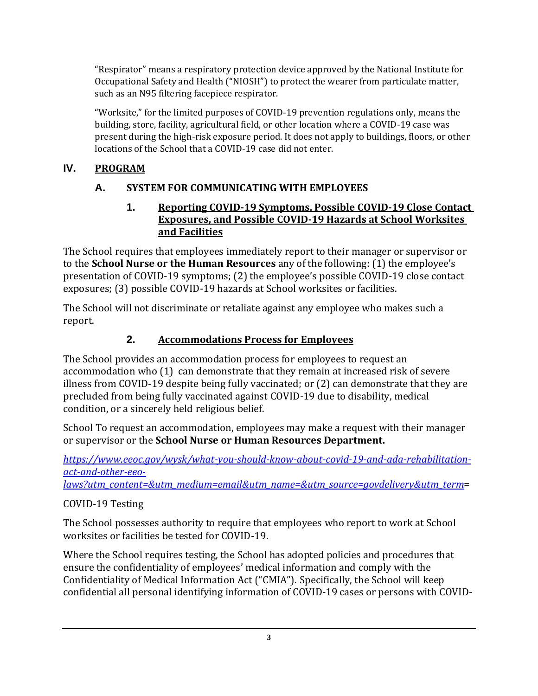"Respirator" means a respiratory protection device approved by the National Institute for Occupational Safety and Health ("NIOSH") to protect the wearer from particulate matter, such as an N95 filtering facepiece respirator.

"Worksite," for the limited purposes of COVID-19 prevention regulations only, means the building, store, facility, agricultural field, or other location where a COVID-19 case was present during the high-risk exposure period. It does not apply to buildings, floors, or other locations of the School that a COVID-19 case did not enter.

# **IV. PROGRAM**

# **A. SYSTEM FOR COMMUNICATING WITH EMPLOYEES**

**1. Reporting COVID-19 Symptoms, Possible COVID-19 Close Contact Exposures, and Possible COVID-19 Hazards at School Worksites and Facilities**

The School requires that employees immediately report to their manager or supervisor or to the **School Nurse or the Human Resources** any of the following: (1) the employee's presentation of COVID-19 symptoms; (2) the employee's possible COVID-19 close contact exposures; (3) possible COVID-19 hazards at School worksites or facilities.

The School will not discriminate or retaliate against any employee who makes such a report.

# **2. Accommodations Process for Employees**

The School provides an accommodation process for employees to request an accommodation who (1) can demonstrate that they remain at increased risk of severe illness from COVID-19 despite being fully vaccinated; or (2) can demonstrate that they are precluded from being fully vaccinated against COVID-19 due to disability, medical condition, or a sincerely held religious belief.

School To request an accommodation, employees may make a request with their manager or supervisor or the **School Nurse or Human Resources Department.**

*[https://www.eeoc.gov/wysk/what-you-should-know-about-covid-19-and-ada-rehabilitation](https://www.eeoc.gov/wysk/what-you-should-know-about-covid-19-and-ada-rehabilitation-act-and-other-eeo-laws?utm_content=&utm_medium=email&utm_name=&utm_source=govdelivery&utm_term)[act-and-other-eeo-](https://www.eeoc.gov/wysk/what-you-should-know-about-covid-19-and-ada-rehabilitation-act-and-other-eeo-laws?utm_content=&utm_medium=email&utm_name=&utm_source=govdelivery&utm_term)*

*[laws?utm\\_content=&utm\\_medium=email&utm\\_name=&utm\\_source=govdelivery&utm\\_term](https://www.eeoc.gov/wysk/what-you-should-know-about-covid-19-and-ada-rehabilitation-act-and-other-eeo-laws?utm_content=&utm_medium=email&utm_name=&utm_source=govdelivery&utm_term)*=

#### COVID-19 Testing

The School possesses authority to require that employees who report to work at School worksites or facilities be tested for COVID-19.

Where the School requires testing, the School has adopted policies and procedures that ensure the confidentiality of employees' medical information and comply with the Confidentiality of Medical Information Act ("CMIA"). Specifically, the School will keep confidential all personal identifying information of COVID-19 cases or persons with COVID-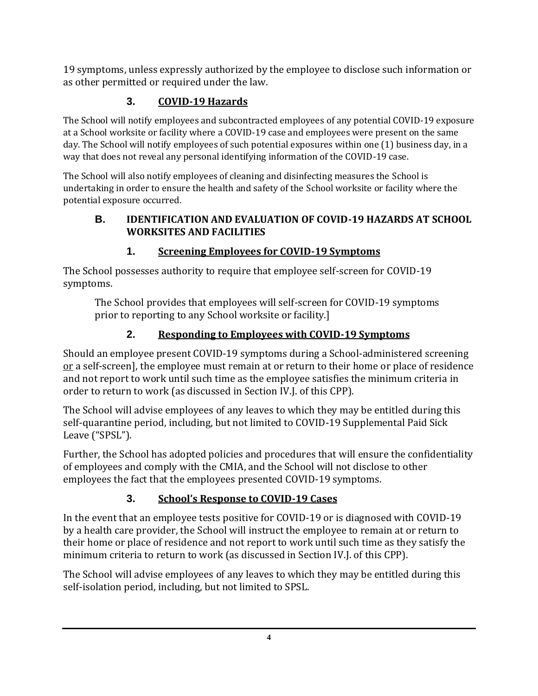19 symptoms, unless expressly authorized by the employee to disclose such information or as other permitted or required under the law.

# **3. COVID-19 Hazards**

The School will notify employees and subcontracted employees of any potential COVID-19 exposure at a School worksite or facility where a COVID-19 case and employees were present on the same day. The School will notify employees of such potential exposures within one (1) business day, in a way that does not reveal any personal identifying information of the COVID-19 case.

The School will also notify employees of cleaning and disinfecting measures the School is undertaking in order to ensure the health and safety of the School worksite or facility where the potential exposure occurred.

#### **B. IDENTIFICATION AND EVALUATION OF COVID-19 HAZARDS AT SCHOOL WORKSITES AND FACILITIES**

# **1. Screening Employees for COVID-19 Symptoms**

The School possesses authority to require that employee self-screen for COVID-19 symptoms.

The School provides that employees will self-screen for COVID-19 symptoms prior to reporting to any School worksite or facility.]

# **2. Responding to Employees with COVID-19 Symptoms**

Should an employee present COVID-19 symptoms during a School-administered screening or a self-screen], the employee must remain at or return to their home or place of residence and not report to work until such time as the employee satisfies the minimum criteria in order to return to work (as discussed in Section IV.J. of this CPP).

The School will advise employees of any leaves to which they may be entitled during this self-quarantine period, including, but not limited to COVID-19 Supplemental Paid Sick Leave ("SPSL").

Further, the School has adopted policies and procedures that will ensure the confidentiality of employees and comply with the CMIA, and the School will not disclose to other employees the fact that the employees presented COVID-19 symptoms.

# **3. School's Response to COVID-19 Cases**

In the event that an employee tests positive for COVID-19 or is diagnosed with COVID-19 by a health care provider, the School will instruct the employee to remain at or return to their home or place of residence and not report to work until such time as they satisfy the minimum criteria to return to work (as discussed in Section IV.J. of this CPP).

The School will advise employees of any leaves to which they may be entitled during this self-isolation period, including, but not limited to SPSL.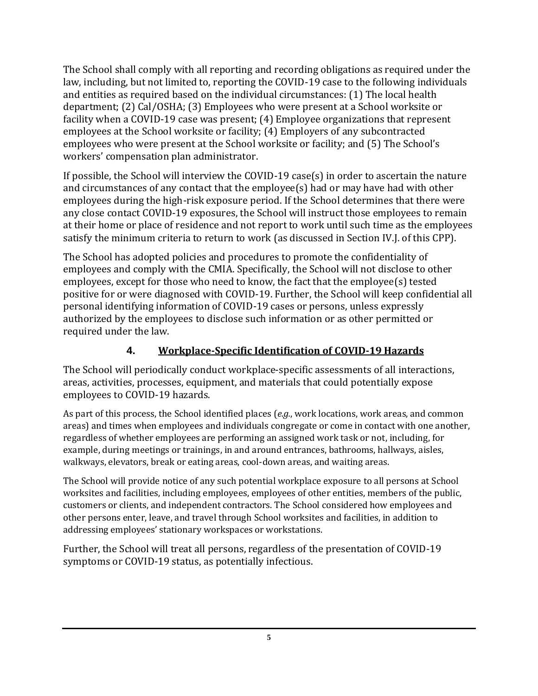The School shall comply with all reporting and recording obligations as required under the law, including, but not limited to, reporting the COVID-19 case to the following individuals and entities as required based on the individual circumstances: (1) The local health department; (2) Cal/OSHA; (3) Employees who were present at a School worksite or facility when a COVID-19 case was present; (4) Employee organizations that represent employees at the School worksite or facility; (4) Employers of any subcontracted employees who were present at the School worksite or facility; and (5) The School's workers' compensation plan administrator.

If possible, the School will interview the COVID-19 case(s) in order to ascertain the nature and circumstances of any contact that the employee(s) had or may have had with other employees during the high-risk exposure period. If the School determines that there were any close contact COVID-19 exposures, the School will instruct those employees to remain at their home or place of residence and not report to work until such time as the employees satisfy the minimum criteria to return to work (as discussed in Section IV.J. of this CPP).

The School has adopted policies and procedures to promote the confidentiality of employees and comply with the CMIA. Specifically, the School will not disclose to other employees, except for those who need to know, the fact that the employee(s) tested positive for or were diagnosed with COVID-19. Further, the School will keep confidential all personal identifying information of COVID-19 cases or persons, unless expressly authorized by the employees to disclose such information or as other permitted or required under the law.

# **4. Workplace-Specific Identification of COVID-19 Hazards**

The School will periodically conduct workplace-specific assessments of all interactions, areas, activities, processes, equipment, and materials that could potentially expose employees to COVID-19 hazards.

As part of this process, the School identified places (*e.g.*, work locations, work areas, and common areas) and times when employees and individuals congregate or come in contact with one another, regardless of whether employees are performing an assigned work task or not, including, for example, during meetings or trainings, in and around entrances, bathrooms, hallways, aisles, walkways, elevators, break or eating areas, cool-down areas, and waiting areas.

The School will provide notice of any such potential workplace exposure to all persons at School worksites and facilities, including employees, employees of other entities, members of the public, customers or clients, and independent contractors. The School considered how employees and other persons enter, leave, and travel through School worksites and facilities, in addition to addressing employees' stationary workspaces or workstations.

Further, the School will treat all persons, regardless of the presentation of COVID-19 symptoms or COVID-19 status, as potentially infectious.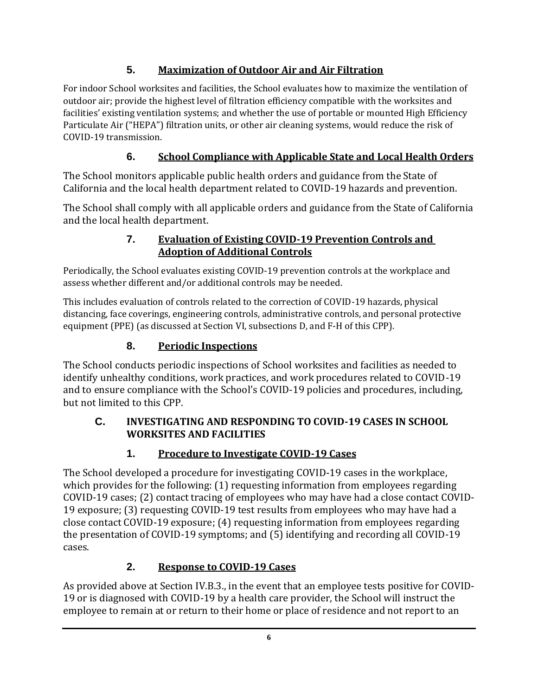# **5. Maximization of Outdoor Air and Air Filtration**

For indoor School worksites and facilities, the School evaluates how to maximize the ventilation of outdoor air; provide the highest level of filtration efficiency compatible with the worksites and facilities' existing ventilation systems; and whether the use of portable or mounted High Efficiency Particulate Air ("HEPA") filtration units, or other air cleaning systems, would reduce the risk of COVID-19 transmission.

# **6. School Compliance with Applicable State and Local Health Orders**

The School monitors applicable public health orders and guidance from the State of California and the local health department related to COVID-19 hazards and prevention.

The School shall comply with all applicable orders and guidance from the State of California and the local health department.

#### **7. Evaluation of Existing COVID-19 Prevention Controls and Adoption of Additional Controls**

Periodically, the School evaluates existing COVID-19 prevention controls at the workplace and assess whether different and/or additional controls may be needed.

This includes evaluation of controls related to the correction of COVID-19 hazards, physical distancing, face coverings, engineering controls, administrative controls, and personal protective equipment (PPE) (as discussed at Section VI, subsections D, and F-H of this CPP).

# **8. Periodic Inspections**

The School conducts periodic inspections of School worksites and facilities as needed to identify unhealthy conditions, work practices, and work procedures related to COVID-19 and to ensure compliance with the School's COVID-19 policies and procedures, including, but not limited to this CPP.

#### **C. INVESTIGATING AND RESPONDING TO COVID-19 CASES IN SCHOOL WORKSITES AND FACILITIES**

# **1. Procedure to Investigate COVID-19 Cases**

The School developed a procedure for investigating COVID-19 cases in the workplace, which provides for the following: (1) requesting information from employees regarding COVID-19 cases; (2) contact tracing of employees who may have had a close contact COVID-19 exposure; (3) requesting COVID-19 test results from employees who may have had a close contact COVID-19 exposure; (4) requesting information from employees regarding the presentation of COVID-19 symptoms; and (5) identifying and recording all COVID-19 cases.

# **2. Response to COVID-19 Cases**

As provided above at Section IV.B.3., in the event that an employee tests positive for COVID-19 or is diagnosed with COVID-19 by a health care provider, the School will instruct the employee to remain at or return to their home or place of residence and not report to an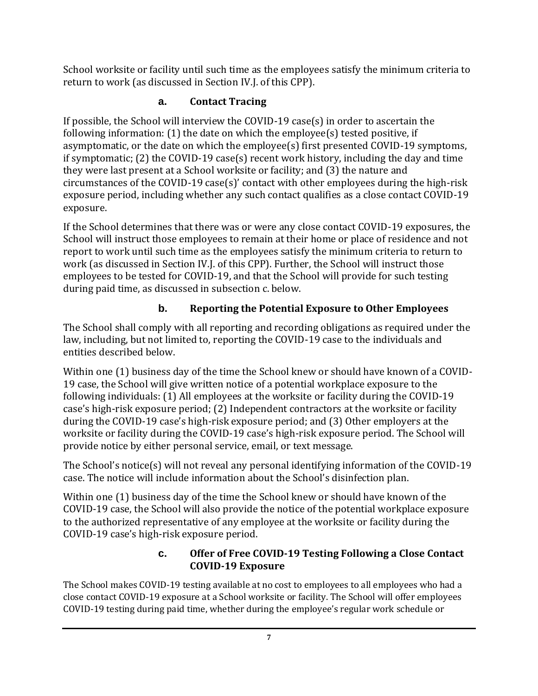School worksite or facility until such time as the employees satisfy the minimum criteria to return to work (as discussed in Section IV.J. of this CPP).

# **a. Contact Tracing**

If possible, the School will interview the COVID-19 case(s) in order to ascertain the following information: (1) the date on which the employee(s) tested positive, if asymptomatic, or the date on which the employee(s) first presented COVID-19 symptoms, if symptomatic; (2) the COVID-19 case(s) recent work history, including the day and time they were last present at a School worksite or facility; and (3) the nature and circumstances of the COVID-19 case(s)' contact with other employees during the high-risk exposure period, including whether any such contact qualifies as a close contact COVID-19 exposure.

If the School determines that there was or were any close contact COVID-19 exposures, the School will instruct those employees to remain at their home or place of residence and not report to work until such time as the employees satisfy the minimum criteria to return to work (as discussed in Section IV.J. of this CPP). Further, the School will instruct those employees to be tested for COVID-19, and that the School will provide for such testing during paid time, as discussed in subsection c. below.

# **b. Reporting the Potential Exposure to Other Employees**

The School shall comply with all reporting and recording obligations as required under the law, including, but not limited to, reporting the COVID-19 case to the individuals and entities described below.

Within one (1) business day of the time the School knew or should have known of a COVID-19 case, the School will give written notice of a potential workplace exposure to the following individuals: (1) All employees at the worksite or facility during the COVID-19 case's high-risk exposure period; (2) Independent contractors at the worksite or facility during the COVID-19 case's high-risk exposure period; and (3) Other employers at the worksite or facility during the COVID-19 case's high-risk exposure period. The School will provide notice by either personal service, email, or text message.

The School's notice(s) will not reveal any personal identifying information of the COVID-19 case. The notice will include information about the School's disinfection plan.

Within one (1) business day of the time the School knew or should have known of the COVID-19 case, the School will also provide the notice of the potential workplace exposure to the authorized representative of any employee at the worksite or facility during the COVID-19 case's high-risk exposure period.

#### **c. Offer of Free COVID-19 Testing Following a Close Contact COVID-19 Exposure**

The School makes COVID-19 testing available at no cost to employees to all employees who had a close contact COVID-19 exposure at a School worksite or facility. The School will offer employees COVID-19 testing during paid time, whether during the employee's regular work schedule or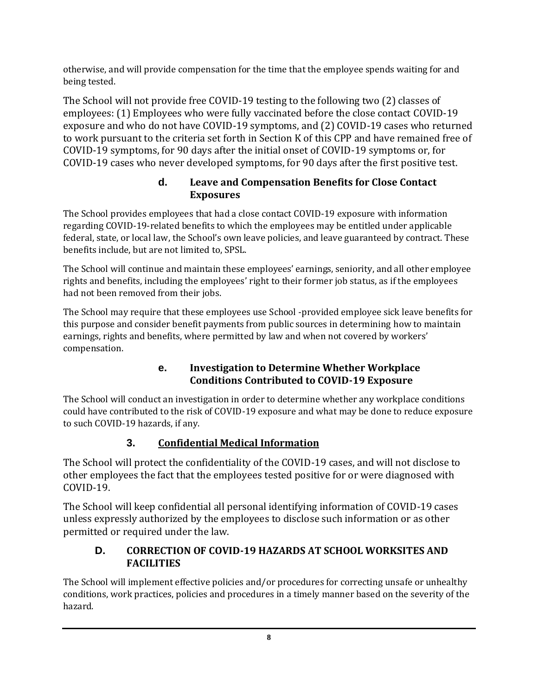otherwise, and will provide compensation for the time that the employee spends waiting for and being tested.

The School will not provide free COVID-19 testing to the following two (2) classes of employees: (1) Employees who were fully vaccinated before the close contact COVID-19 exposure and who do not have COVID-19 symptoms, and (2) COVID-19 cases who returned to work pursuant to the criteria set forth in Section K of this CPP and have remained free of COVID-19 symptoms, for 90 days after the initial onset of COVID-19 symptoms or, for COVID-19 cases who never developed symptoms, for 90 days after the first positive test.

#### **d. Leave and Compensation Benefits for Close Contact Exposures**

The School provides employees that had a close contact COVID-19 exposure with information regarding COVID-19-related benefits to which the employees may be entitled under applicable federal, state, or local law, the School's own leave policies, and leave guaranteed by contract. These benefits include, but are not limited to, SPSL.

The School will continue and maintain these employees' earnings, seniority, and all other employee rights and benefits, including the employees' right to their former job status, as if the employees had not been removed from their jobs.

The School may require that these employees use School -provided employee sick leave benefits for this purpose and consider benefit payments from public sources in determining how to maintain earnings, rights and benefits, where permitted by law and when not covered by workers' compensation.

#### **e. Investigation to Determine Whether Workplace Conditions Contributed to COVID-19 Exposure**

The School will conduct an investigation in order to determine whether any workplace conditions could have contributed to the risk of COVID-19 exposure and what may be done to reduce exposure to such COVID-19 hazards, if any.

# **3. Confidential Medical Information**

The School will protect the confidentiality of the COVID-19 cases, and will not disclose to other employees the fact that the employees tested positive for or were diagnosed with COVID-19.

The School will keep confidential all personal identifying information of COVID-19 cases unless expressly authorized by the employees to disclose such information or as other permitted or required under the law.

#### **D. CORRECTION OF COVID-19 HAZARDS AT SCHOOL WORKSITES AND FACILITIES**

The School will implement effective policies and/or procedures for correcting unsafe or unhealthy conditions, work practices, policies and procedures in a timely manner based on the severity of the hazard.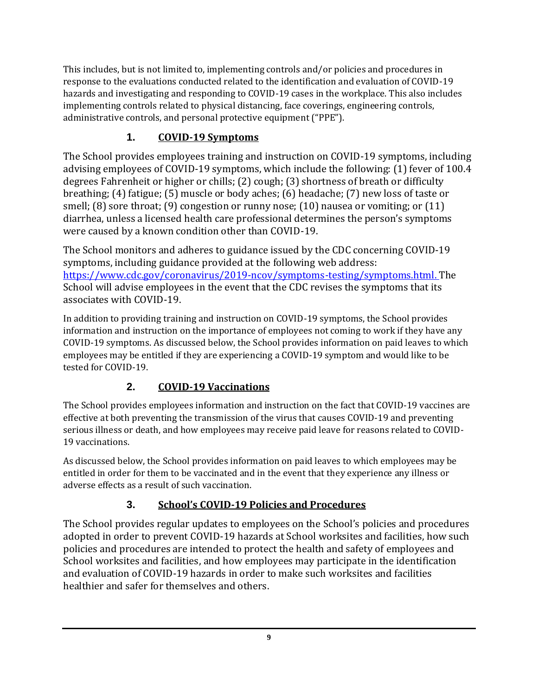This includes, but is not limited to, implementing controls and/or policies and procedures in response to the evaluations conducted related to the identification and evaluation of COVID-19 hazards and investigating and responding to COVID-19 cases in the workplace. This also includes implementing controls related to physical distancing, face coverings, engineering controls, administrative controls, and personal protective equipment ("PPE").

# **1. COVID-19 Symptoms**

The School provides employees training and instruction on COVID-19 symptoms, including advising employees of COVID-19 symptoms, which include the following: (1) fever of 100.4 degrees Fahrenheit or higher or chills; (2) cough; (3) shortness of breath or difficulty breathing; (4) fatigue; (5) muscle or body aches; (6) headache; (7) new loss of taste or smell; (8) sore throat; (9) congestion or runny nose; (10) nausea or vomiting; or (11) diarrhea, unless a licensed health care professional determines the person's symptoms were caused by a known condition other than COVID-19.

The School monitors and adheres to guidance issued by the CDC concerning COVID-19 symptoms, including guidance provided at the following web address: [https://www.cdc.gov/coronavirus/2019-ncov/symptoms-testing/symptoms.html.](https://www.cdc.gov/coronavirus/2019-ncov/symptoms-testing/symptoms.html) The School will advise employees in the event that the CDC revises the symptoms that its associates with COVID-19.

In addition to providing training and instruction on COVID-19 symptoms, the School provides information and instruction on the importance of employees not coming to work if they have any COVID-19 symptoms. As discussed below, the School provides information on paid leaves to which employees may be entitled if they are experiencing a COVID-19 symptom and would like to be tested for COVID-19.

# **2. COVID-19 Vaccinations**

The School provides employees information and instruction on the fact that COVID-19 vaccines are effective at both preventing the transmission of the virus that causes COVID-19 and preventing serious illness or death, and how employees may receive paid leave for reasons related to COVID-19 vaccinations.

As discussed below, the School provides information on paid leaves to which employees may be entitled in order for them to be vaccinated and in the event that they experience any illness or adverse effects as a result of such vaccination.

# **3. School's COVID-19 Policies and Procedures**

The School provides regular updates to employees on the School's policies and procedures adopted in order to prevent COVID-19 hazards at School worksites and facilities, how such policies and procedures are intended to protect the health and safety of employees and School worksites and facilities, and how employees may participate in the identification and evaluation of COVID-19 hazards in order to make such worksites and facilities healthier and safer for themselves and others.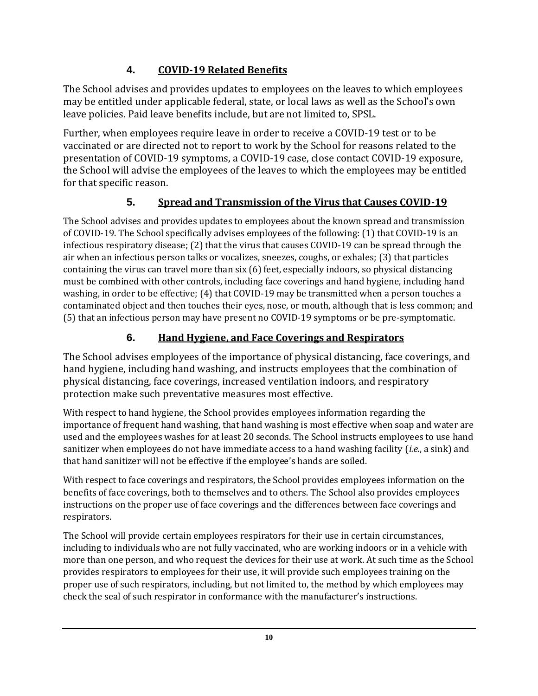# **4. COVID-19 Related Benefits**

The School advises and provides updates to employees on the leaves to which employees may be entitled under applicable federal, state, or local laws as well as the School's own leave policies. Paid leave benefits include, but are not limited to, SPSL.

Further, when employees require leave in order to receive a COVID-19 test or to be vaccinated or are directed not to report to work by the School for reasons related to the presentation of COVID-19 symptoms, a COVID-19 case, close contact COVID-19 exposure, the School will advise the employees of the leaves to which the employees may be entitled for that specific reason.

# **5. Spread and Transmission of the Virus that Causes COVID-19**

The School advises and provides updates to employees about the known spread and transmission of COVID-19. The School specifically advises employees of the following: (1) that COVID-19 is an infectious respiratory disease; (2) that the virus that causes COVID-19 can be spread through the air when an infectious person talks or vocalizes, sneezes, coughs, or exhales; (3) that particles containing the virus can travel more than six (6) feet, especially indoors, so physical distancing must be combined with other controls, including face coverings and hand hygiene, including hand washing, in order to be effective; (4) that COVID-19 may be transmitted when a person touches a contaminated object and then touches their eyes, nose, or mouth, although that is less common; and (5) that an infectious person may have present no COVID-19 symptoms or be pre-symptomatic.

# **6. Hand Hygiene, and Face Coverings and Respirators**

The School advises employees of the importance of physical distancing, face coverings, and hand hygiene, including hand washing, and instructs employees that the combination of physical distancing, face coverings, increased ventilation indoors, and respiratory protection make such preventative measures most effective.

With respect to hand hygiene, the School provides employees information regarding the importance of frequent hand washing, that hand washing is most effective when soap and water are used and the employees washes for at least 20 seconds. The School instructs employees to use hand sanitizer when employees do not have immediate access to a hand washing facility (*i.e.*, a sink) and that hand sanitizer will not be effective if the employee's hands are soiled.

With respect to face coverings and respirators, the School provides employees information on the benefits of face coverings, both to themselves and to others. The School also provides employees instructions on the proper use of face coverings and the differences between face coverings and respirators.

The School will provide certain employees respirators for their use in certain circumstances, including to individuals who are not fully vaccinated, who are working indoors or in a vehicle with more than one person, and who request the devices for their use at work. At such time as the School provides respirators to employees for their use, it will provide such employees training on the proper use of such respirators, including, but not limited to, the method by which employees may check the seal of such respirator in conformance with the manufacturer's instructions.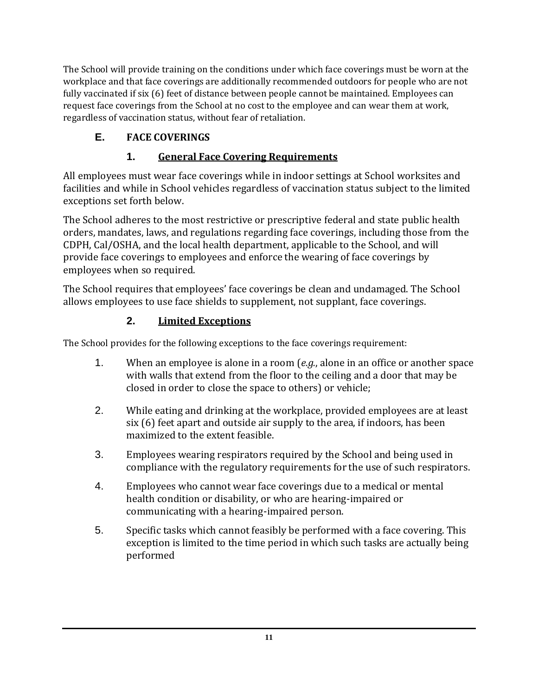The School will provide training on the conditions under which face coverings must be worn at the workplace and that face coverings are additionally recommended outdoors for people who are not fully vaccinated if six (6) feet of distance between people cannot be maintained. Employees can request face coverings from the School at no cost to the employee and can wear them at work, regardless of vaccination status, without fear of retaliation.

# **E. FACE COVERINGS**

# **1. General Face Covering Requirements**

All employees must wear face coverings while in indoor settings at School worksites and facilities and while in School vehicles regardless of vaccination status subject to the limited exceptions set forth below.

The School adheres to the most restrictive or prescriptive federal and state public health orders, mandates, laws, and regulations regarding face coverings, including those from the CDPH, Cal/OSHA, and the local health department, applicable to the School, and will provide face coverings to employees and enforce the wearing of face coverings by employees when so required.

The School requires that employees' face coverings be clean and undamaged. The School allows employees to use face shields to supplement, not supplant, face coverings.

#### **2. Limited Exceptions**

The School provides for the following exceptions to the face coverings requirement:

- 1. When an employee is alone in a room (*e.g.*, alone in an office or another space with walls that extend from the floor to the ceiling and a door that may be closed in order to close the space to others) or vehicle;
- 2. While eating and drinking at the workplace, provided employees are at least six (6) feet apart and outside air supply to the area, if indoors, has been maximized to the extent feasible.
- 3. Employees wearing respirators required by the School and being used in compliance with the regulatory requirements for the use of such respirators.
- 4. Employees who cannot wear face coverings due to a medical or mental health condition or disability, or who are hearing-impaired or communicating with a hearing-impaired person.
- 5. Specific tasks which cannot feasibly be performed with a face covering. This exception is limited to the time period in which such tasks are actually being performed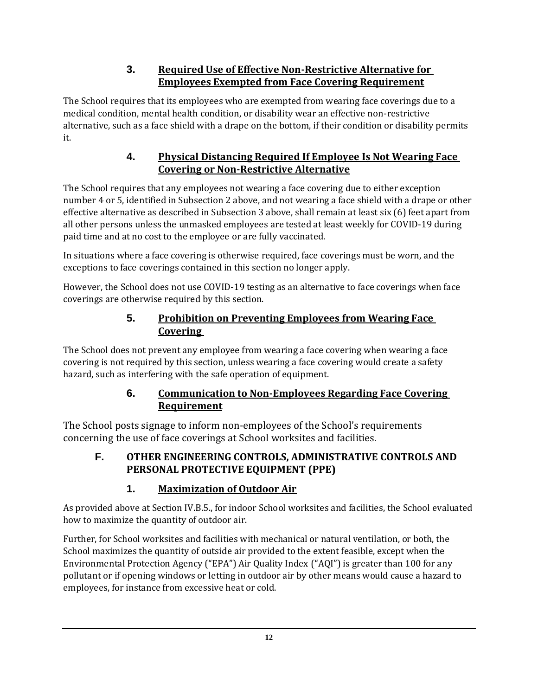#### **3. Required Use of Effective Non-Restrictive Alternative for Employees Exempted from Face Covering Requirement**

The School requires that its employees who are exempted from wearing face coverings due to a medical condition, mental health condition, or disability wear an effective non-restrictive alternative, such as a face shield with a drape on the bottom, if their condition or disability permits it.

#### **4. Physical Distancing Required If Employee Is Not Wearing Face Covering or Non-Restrictive Alternative**

The School requires that any employees not wearing a face covering due to either exception number 4 or 5, identified in Subsection 2 above, and not wearing a face shield with a drape or other effective alternative as described in Subsection 3 above, shall remain at least six (6) feet apart from all other persons unless the unmasked employees are tested at least weekly for COVID-19 during paid time and at no cost to the employee or are fully vaccinated.

In situations where a face covering is otherwise required, face coverings must be worn, and the exceptions to face coverings contained in this section no longer apply.

However, the School does not use COVID-19 testing as an alternative to face coverings when face coverings are otherwise required by this section.

#### **5. Prohibition on Preventing Employees from Wearing Face Covering**

The School does not prevent any employee from wearing a face covering when wearing a face covering is not required by this section, unless wearing a face covering would create a safety hazard, such as interfering with the safe operation of equipment.

#### **6. Communication to Non-Employees Regarding Face Covering Requirement**

The School posts signage to inform non-employees of the School's requirements concerning the use of face coverings at School worksites and facilities.

#### **F. OTHER ENGINEERING CONTROLS, ADMINISTRATIVE CONTROLS AND PERSONAL PROTECTIVE EQUIPMENT (PPE)**

# **1. Maximization of Outdoor Air**

As provided above at Section IV.B.5., for indoor School worksites and facilities, the School evaluated how to maximize the quantity of outdoor air.

Further, for School worksites and facilities with mechanical or natural ventilation, or both, the School maximizes the quantity of outside air provided to the extent feasible, except when the Environmental Protection Agency ("EPA") Air Quality Index ("AQI") is greater than 100 for any pollutant or if opening windows or letting in outdoor air by other means would cause a hazard to employees, for instance from excessive heat or cold.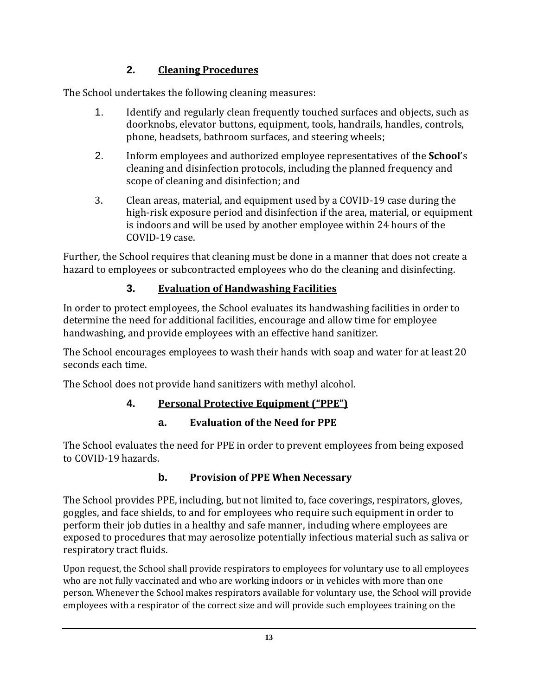# **2. Cleaning Procedures**

The School undertakes the following cleaning measures:

- 1. Identify and regularly clean frequently touched surfaces and objects, such as doorknobs, elevator buttons, equipment, tools, handrails, handles, controls, phone, headsets, bathroom surfaces, and steering wheels;
- 2. Inform employees and authorized employee representatives of the **School**'s cleaning and disinfection protocols, including the planned frequency and scope of cleaning and disinfection; and
- 3. Clean areas, material, and equipment used by a COVID-19 case during the high-risk exposure period and disinfection if the area, material, or equipment is indoors and will be used by another employee within 24 hours of the COVID-19 case.

Further, the School requires that cleaning must be done in a manner that does not create a hazard to employees or subcontracted employees who do the cleaning and disinfecting.

# **3. Evaluation of Handwashing Facilities**

In order to protect employees, the School evaluates its handwashing facilities in order to determine the need for additional facilities, encourage and allow time for employee handwashing, and provide employees with an effective hand sanitizer.

The School encourages employees to wash their hands with soap and water for at least 20 seconds each time.

The School does not provide hand sanitizers with methyl alcohol.

#### **4. Personal Protective Equipment ("PPE")**

#### **a. Evaluation of the Need for PPE**

The School evaluates the need for PPE in order to prevent employees from being exposed to COVID-19 hazards.

#### **b. Provision of PPE When Necessary**

The School provides PPE, including, but not limited to, face coverings, respirators, gloves, goggles, and face shields, to and for employees who require such equipment in order to perform their job duties in a healthy and safe manner, including where employees are exposed to procedures that may aerosolize potentially infectious material such as saliva or respiratory tract fluids.

Upon request, the School shall provide respirators to employees for voluntary use to all employees who are not fully vaccinated and who are working indoors or in vehicles with more than one person. Whenever the School makes respirators available for voluntary use, the School will provide employees with a respirator of the correct size and will provide such employees training on the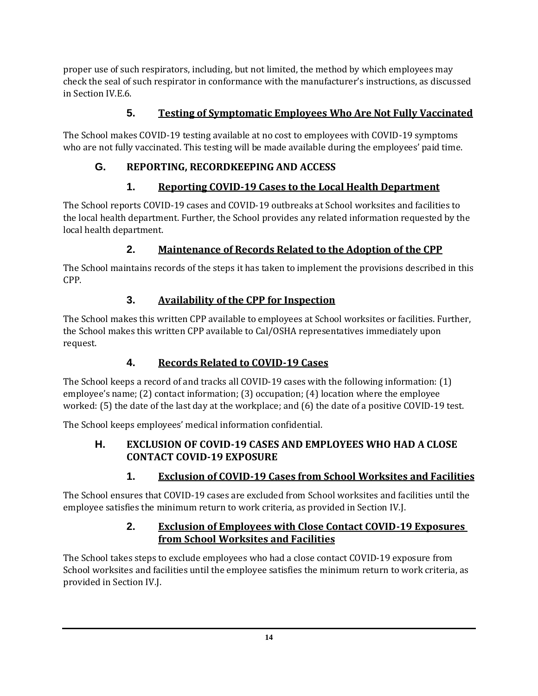proper use of such respirators, including, but not limited, the method by which employees may check the seal of such respirator in conformance with the manufacturer's instructions, as discussed in Section IV.E.6.

#### **5. Testing of Symptomatic Employees Who Are Not Fully Vaccinated**

The School makes COVID-19 testing available at no cost to employees with COVID-19 symptoms who are not fully vaccinated. This testing will be made available during the employees' paid time.

# **G. REPORTING, RECORDKEEPING AND ACCESS**

# **1. Reporting COVID-19 Cases to the Local Health Department**

The School reports COVID-19 cases and COVID-19 outbreaks at School worksites and facilities to the local health department. Further, the School provides any related information requested by the local health department.

# **2. Maintenance of Records Related to the Adoption of the CPP**

The School maintains records of the steps it has taken to implement the provisions described in this CPP.

#### **3. Availability of the CPP for Inspection**

The School makes this written CPP available to employees at School worksites or facilities. Further, the School makes this written CPP available to Cal/OSHA representatives immediately upon request.

# **4. Records Related to COVID-19 Cases**

The School keeps a record of and tracks all COVID-19 cases with the following information: (1) employee's name; (2) contact information; (3) occupation; (4) location where the employee worked: (5) the date of the last day at the workplace; and (6) the date of a positive COVID-19 test.

The School keeps employees' medical information confidential.

#### **H. EXCLUSION OF COVID-19 CASES AND EMPLOYEES WHO HAD A CLOSE CONTACT COVID-19 EXPOSURE**

# **1. Exclusion of COVID-19 Cases from School Worksites and Facilities**

The School ensures that COVID-19 cases are excluded from School worksites and facilities until the employee satisfies the minimum return to work criteria, as provided in Section IV.J.

#### **2. Exclusion of Employees with Close Contact COVID-19 Exposures from School Worksites and Facilities**

The School takes steps to exclude employees who had a close contact COVID-19 exposure from School worksites and facilities until the employee satisfies the minimum return to work criteria, as provided in Section IV.J.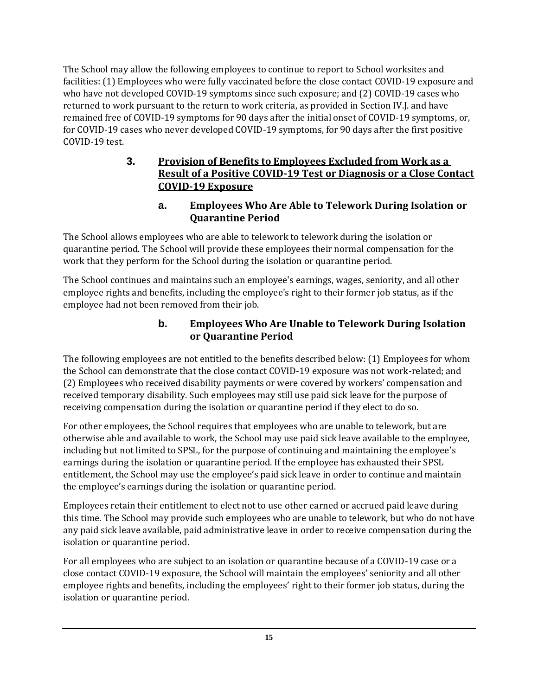The School may allow the following employees to continue to report to School worksites and facilities: (1) Employees who were fully vaccinated before the close contact COVID-19 exposure and who have not developed COVID-19 symptoms since such exposure; and (2) COVID-19 cases who returned to work pursuant to the return to work criteria, as provided in Section IV.J. and have remained free of COVID-19 symptoms for 90 days after the initial onset of COVID-19 symptoms, or, for COVID-19 cases who never developed COVID-19 symptoms, for 90 days after the first positive COVID-19 test.

#### **3. Provision of Benefits to Employees Excluded from Work as a Result of a Positive COVID-19 Test or Diagnosis or a Close Contact COVID-19 Exposure**

#### **a. Employees Who Are Able to Telework During Isolation or Quarantine Period**

The School allows employees who are able to telework to telework during the isolation or quarantine period. The School will provide these employees their normal compensation for the work that they perform for the School during the isolation or quarantine period.

The School continues and maintains such an employee's earnings, wages, seniority, and all other employee rights and benefits, including the employee's right to their former job status, as if the employee had not been removed from their job.

#### **b. Employees Who Are Unable to Telework During Isolation or Quarantine Period**

The following employees are not entitled to the benefits described below: (1) Employees for whom the School can demonstrate that the close contact COVID-19 exposure was not work-related; and (2) Employees who received disability payments or were covered by workers' compensation and received temporary disability. Such employees may still use paid sick leave for the purpose of receiving compensation during the isolation or quarantine period if they elect to do so.

For other employees, the School requires that employees who are unable to telework, but are otherwise able and available to work, the School may use paid sick leave available to the employee, including but not limited to SPSL, for the purpose of continuing and maintaining the employee's earnings during the isolation or quarantine period. If the employee has exhausted their SPSL entitlement, the School may use the employee's paid sick leave in order to continue and maintain the employee's earnings during the isolation or quarantine period.

Employees retain their entitlement to elect not to use other earned or accrued paid leave during this time. The School may provide such employees who are unable to telework, but who do not have any paid sick leave available, paid administrative leave in order to receive compensation during the isolation or quarantine period.

For all employees who are subject to an isolation or quarantine because of a COVID-19 case or a close contact COVID-19 exposure, the School will maintain the employees' seniority and all other employee rights and benefits, including the employees' right to their former job status, during the isolation or quarantine period.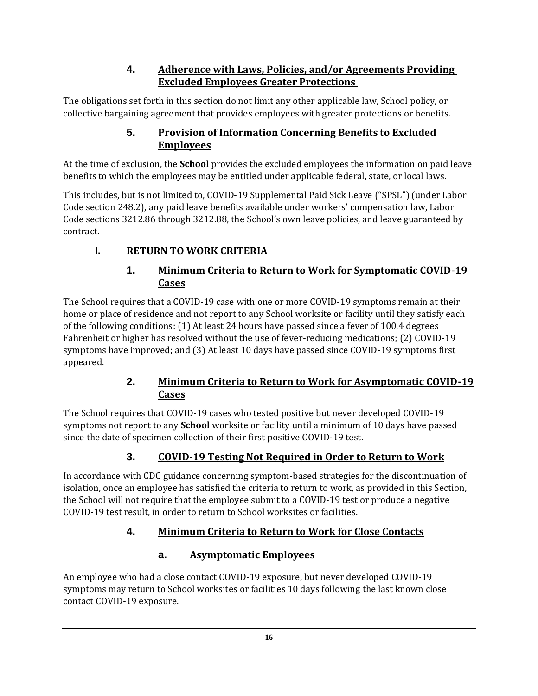#### **4. Adherence with Laws, Policies, and/or Agreements Providing Excluded Employees Greater Protections**

The obligations set forth in this section do not limit any other applicable law, School policy, or collective bargaining agreement that provides employees with greater protections or benefits.

#### **5. Provision of Information Concerning Benefits to Excluded Employees**

At the time of exclusion, the **School** provides the excluded employees the information on paid leave benefits to which the employees may be entitled under applicable federal, state, or local laws.

This includes, but is not limited to, COVID-19 Supplemental Paid Sick Leave ("SPSL") (under Labor Code section 248.2), any paid leave benefits available under workers' compensation law, Labor Code sections 3212.86 through 3212.88, the School's own leave policies, and leave guaranteed by contract.

# **I. RETURN TO WORK CRITERIA**

#### **1. Minimum Criteria to Return to Work for Symptomatic COVID-19 Cases**

The School requires that a COVID-19 case with one or more COVID-19 symptoms remain at their home or place of residence and not report to any School worksite or facility until they satisfy each of the following conditions: (1) At least 24 hours have passed since a fever of 100.4 degrees Fahrenheit or higher has resolved without the use of fever-reducing medications; (2) COVID-19 symptoms have improved; and (3) At least 10 days have passed since COVID-19 symptoms first appeared.

#### **2. Minimum Criteria to Return to Work for Asymptomatic COVID-19 Cases**

The School requires that COVID-19 cases who tested positive but never developed COVID-19 symptoms not report to any **School** worksite or facility until a minimum of 10 days have passed since the date of specimen collection of their first positive COVID-19 test.

# **3. COVID-19 Testing Not Required in Order to Return to Work**

In accordance with CDC guidance concerning symptom-based strategies for the discontinuation of isolation, once an employee has satisfied the criteria to return to work, as provided in this Section, the School will not require that the employee submit to a COVID-19 test or produce a negative COVID-19 test result, in order to return to School worksites or facilities.

# **4. Minimum Criteria to Return to Work for Close Contacts**

# **a. Asymptomatic Employees**

An employee who had a close contact COVID-19 exposure, but never developed COVID-19 symptoms may return to School worksites or facilities 10 days following the last known close contact COVID-19 exposure.